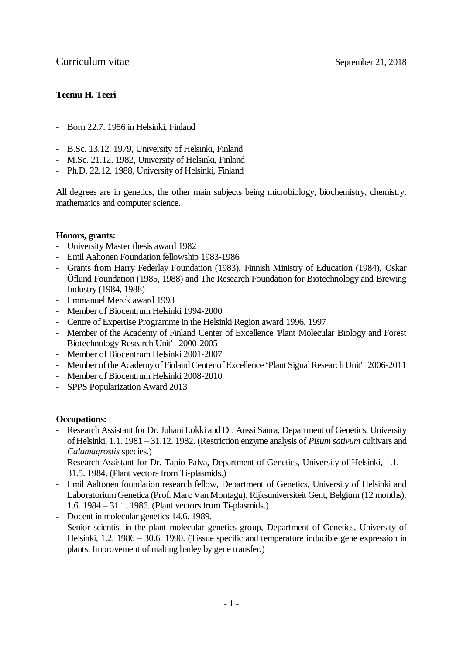# **Teemu H. Teeri**

- Born 22.7. 1956 in Helsinki, Finland
- B.Sc. 13.12. 1979, University of Helsinki, Finland
- M.Sc. 21.12. 1982, University of Helsinki, Finland
- Ph.D. 22.12. 1988, University of Helsinki, Finland

All degrees are in genetics, the other main subjects being microbiology, biochemistry, chemistry, mathematics and computer science.

## **Honors, grants:**

- University Master thesis award 1982
- Emil Aaltonen Foundation fellowship 1983-1986
- Grants from Harry Federlay Foundation (1983), Finnish Ministry of Education (1984), Oskar Öflund Foundation (1985, 1988) and The Research Foundation for Biotechnology and Brewing Industry (1984, 1988)
- Emmanuel Merck award 1993
- Member of Biocentrum Helsinki 1994-2000
- Centre of Expertise Programme in the Helsinki Region award 1996, 1997
- Member of the Academy of Finland Center of Excellence 'Plant Molecular Biology and Forest Biotechnology Research Unit' 2000-2005
- Member of Biocentrum Helsinki 2001-2007
- Member of the Academy of Finland Center of Excellence 'Plant Signal Research Unit' 2006-2011
- Member of Biocentrum Helsinki 2008-2010
- SPPS Popularization Award 2013

## **Occupations:**

- Research Assistant for Dr. Juhani Lokki and Dr. Anssi Saura, Department of Genetics, University of Helsinki, 1.1. 1981 – 31.12. 1982. (Restriction enzyme analysis of *Pisum sativum* cultivars and *Calamagrostis* species.)
- Research Assistant for Dr. Tapio Palva, Department of Genetics, University of Helsinki, 1.1. 31.5. 1984. (Plant vectors from Ti-plasmids.)
- Emil Aaltonen foundation research fellow, Department of Genetics, University of Helsinki and Laboratorium Genetica (Prof. Marc Van Montagu), Rijksuniversiteit Gent, Belgium (12 months), 1.6. 1984 – 31.1. 1986. (Plant vectors from Ti-plasmids.)
- Docent in molecular genetics 14.6. 1989.
- Senior scientist in the plant molecular genetics group, Department of Genetics, University of Helsinki, 1.2. 1986 – 30.6. 1990. (Tissue specific and temperature inducible gene expression in plants; Improvement of malting barley by gene transfer.)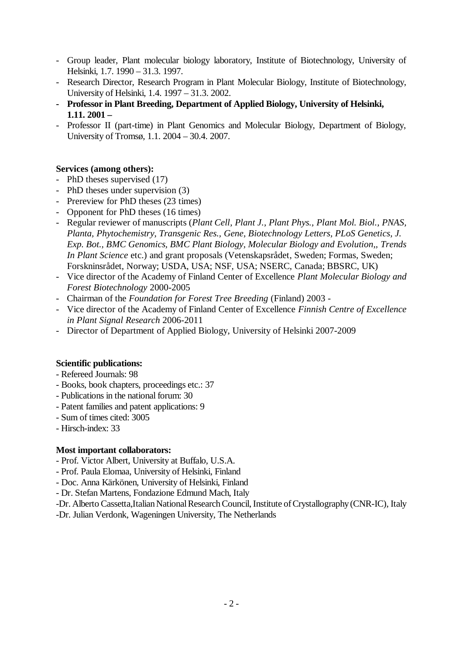- Group leader, Plant molecular biology laboratory, Institute of Biotechnology, University of Helsinki, 1.7. 1990 – 31.3. 1997.
- Research Director, Research Program in Plant Molecular Biology, Institute of Biotechnology, University of Helsinki, 1.4. 1997 – 31.3. 2002.
- **Professor in Plant Breeding, Department of Applied Biology, University of Helsinki, 1.11. 2001 –**
- Professor II (part-time) in Plant Genomics and Molecular Biology, Department of Biology, University of Tromsø, 1.1. 2004 – 30.4. 2007.

# **Services (among others):**

- PhD theses supervised (17)
- PhD theses under supervision (3)
- Prereview for PhD theses (23 times)
- Opponent for PhD theses (16 times)
- Regular reviewer of manuscripts (*Plant Cell, Plant J., Plant Phys., Plant Mol. Biol., PNAS, Planta, Phytochemistry, Transgenic Res., Gene, Biotechnology Letters, PLoS Genetics, J. Exp. Bot., BMC Genomics, BMC Plant Biology, Molecular Biology and Evolution,, Trends In Plant Science* etc.) and grant proposals (Vetenskapsrådet, Sweden; Formas, Sweden; Forskninsrådet, Norway; USDA, USA; NSF, USA; NSERC, Canada; BBSRC, UK)
- Vice director of the Academy of Finland Center of Excellence *Plant Molecular Biology and Forest Biotechnology* 2000-2005
- Chairman of the *Foundation for Forest Tree Breeding* (Finland) 2003 -
- Vice director of the Academy of Finland Center of Excellence *Finnish Centre of Excellence in Plant Signal Research* 2006-2011
- Director of Department of Applied Biology, University of Helsinki 2007-2009

# **Scientific publications:**

- Refereed Journals: 98
- Books, book chapters, proceedings etc.: 37
- Publications in the national forum: 30
- Patent families and patent applications: 9
- Sum of times cited: 3005
- Hirsch-index: 33

# **Most important collaborators:**

- Prof. Victor Albert, University at Buffalo, U.S.A.
- Prof. Paula Elomaa, University of Helsinki, Finland
- Doc. Anna Kärkönen, University of Helsinki, Finland
- Dr. Stefan Martens, Fondazione Edmund Mach, Italy
- -Dr. Alberto Cassetta,Italian National Research Council, Institute of Crystallography (CNR-IC), Italy

-Dr. Julian Verdonk, Wageningen University, The Netherlands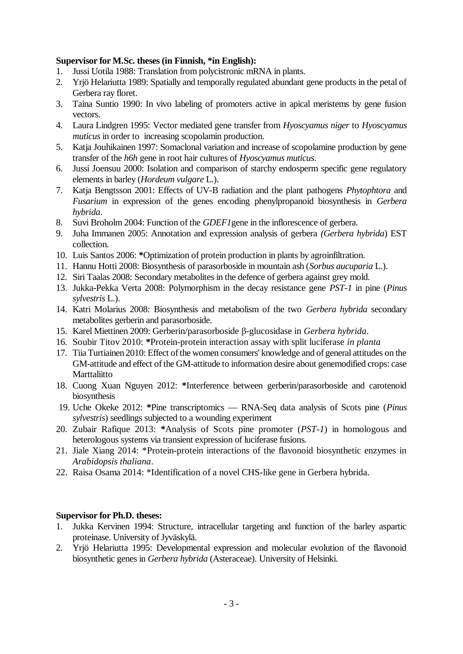# **Supervisor for M.Sc. theses (in Finnish, \*in English):**

- 1. Jussi Uotila 1988: Translation from polycistronic mRNA in plants.
- 2. Yrjö Helariutta 1989: Spatially and temporally regulated abundant gene products in the petal of Gerbera ray floret.
- 3. Taina Suntio 1990: In vivo labeling of promoters active in apical meristems by gene fusion vectors.
- 4. Laura Lindgren 1995: Vector mediated gene transfer from *Hyoscyamus niger* to *Hyoscyamus muticus* in order to increasing scopolamin production.
- 5. Katja Jouhikainen 1997: Somaclonal variation and increase of scopolamine production by gene transfer of the *h6h* gene in root hair cultures of *Hyoscyamus muticus*.
- 6. Jussi Joensuu 2000: Isolation and comparison of starchy endosperm specific gene regulatory elements in barley (*Hordeum vulgare* L.).
- 7. Katja Bengtsson 2001: Effects of UV-B radiation and the plant pathogens *Phytophtora* and *Fusarium* in expression of the genes encoding phenylpropanoid biosynthesis in *Gerbera hybrida*.
- 8. Suvi Broholm 2004: Function of the *GDEF1*gene in the inflorescence of gerbera.
- 9. Juha Immanen 2005: Annotation and expression analysis of gerbera *(Gerbera hybrida*) EST collection.
- 10. Luis Santos 2006: **\***Optimization of protein production in plants by agroinfiltration.
- 11. Hannu Hotti 2008: Biosynthesis of parasorboside in mountain ash (*Sorbus aucuparia* L.).
- 12. Siri Taalas 2008: Secondary metabolites in the defence of gerbera against grey mold.
- 13. Jukka-Pekka Verta 2008: Polymorphism in the decay resistance gene *PST-1* in pine (*Pinus sylvestris* L.).
- 14. Katri Molarius 2008: Biosynthesis and metabolism of the two *Gerbera hybrida* secondary metabolites gerberin and parasorboside.
- 15. Karel Miettinen 2009: Gerberin/parasorboside β-glucosidase in *Gerbera hybrida*.
- 16. Soubir Titov 2010: **\***Protein-protein interaction assay with split luciferase *in planta*
- 17. Tiia Turtiainen 2010: Effect of the women consumers' knowledge and of general attitudes on the GM-attitude and effect of the GM-attitude to information desire about genemodified crops: case **Marttaliitto**
- 18. Cuong Xuan Nguyen 2012: **\***Interference between gerberin/parasorboside and carotenoid biosynthesis
- 19. Uche Okeke 2012: **\***Pine transcriptomics RNA-Seq data analysis of Scots pine (*Pinus sylvestris*) seedlings subjected to a wounding experiment
- 20. Zubair Rafique 2013: **\***Analysis of Scots pine promoter (*PST-1*) in homologous and heterologous systems via transient expression of luciferase fusions.
- 21. Jiale Xiang 2014: \*Protein-protein interactions of the flavonoid biosynthetic enzymes in *Arabidopsis thaliana*.
- 22. Raisa Osama 2014: \*Identification of a novel CHS-like gene in Gerbera hybrida.

## **Supervisor for Ph.D. theses:**

- 1. Jukka Kervinen 1994: Structure, intracellular targeting and function of the barley aspartic proteinase. University of Jyväskylä.
- 2. Yrjö Helariutta 1995: Developmental expression and molecular evolution of the flavonoid biosynthetic genes in *Gerbera hybrida* (Asteraceae). University of Helsinki.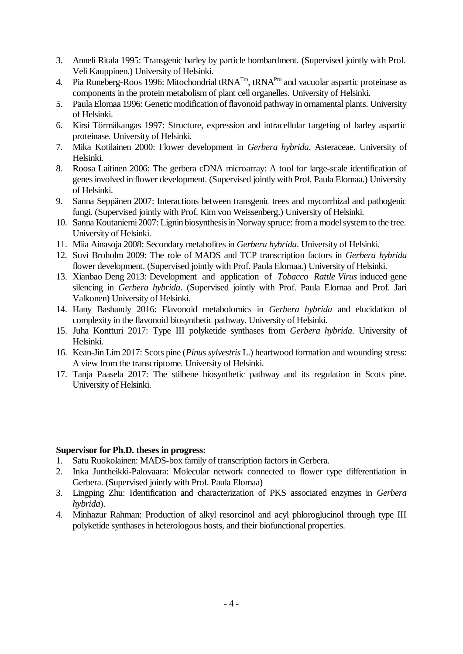- 3. Anneli Ritala 1995: Transgenic barley by particle bombardment. (Supervised jointly with Prof. Veli Kauppinen.) University of Helsinki.
- 4. Pia Runeberg-Roos 1996: Mitochondrial  $tRNA^{Tp}$ ,  $tRNA^{Pro}$  and vacuolar aspartic proteinase as components in the protein metabolism of plant cell organelles. University of Helsinki.
- 5. Paula Elomaa 1996: Genetic modification of flavonoid pathway in ornamental plants. University of Helsinki.
- 6. Kirsi Törmäkangas 1997: Structure, expression and intracellular targeting of barley aspartic proteinase. University of Helsinki.
- 7. Mika Kotilainen 2000: Flower development in *Gerbera hybrida*, Asteraceae. University of Helsinki.
- 8. Roosa Laitinen 2006: The gerbera cDNA microarray: A tool for large-scale identification of genes involved in flower development. (Supervised jointly with Prof. Paula Elomaa.) University of Helsinki.
- 9. Sanna Seppänen 2007: Interactions between transgenic trees and mycorrhizal and pathogenic fungi. (Supervised jointly with Prof. Kim von Weissenberg.) University of Helsinki.
- 10. Sanna Koutaniemi 2007: Lignin biosynthesis in Norway spruce: from a model system to the tree. University of Helsinki.
- 11. Miia Ainasoja 2008: Secondary metabolites in *Gerbera hybrida*. University of Helsinki.
- 12. Suvi Broholm 2009: The role of MADS and TCP transcription factors in *Gerbera hybrida* flower development. (Supervised jointly with Prof. Paula Elomaa.) University of Helsinki.
- 13. Xianbao Deng 2013: Development and application of *Tobacco Rattle Virus* induced gene silencing in *Gerbera hybrida*. (Supervised jointly with Prof. Paula Elomaa and Prof. Jari Valkonen) University of Helsinki.
- 14. Hany Bashandy 2016: Flavonoid metabolomics in *Gerbera hybrida* and elucidation of complexity in the flavonoid biosynthetic pathway. University of Helsinki.
- 15. Juha Kontturi 2017: Type III polyketide synthases from *Gerbera hybrida*. University of Helsinki.
- 16. Kean-Jin Lim 2017: Scots pine (*Pinus sylvestris* L.) heartwood formation and wounding stress: A view from the transcriptome. University of Helsinki.
- 17. Tanja Paasela 2017: The stilbene biosynthetic pathway and its regulation in Scots pine. University of Helsinki.

## **Supervisor for Ph.D. theses in progress:**

- 1. Satu Ruokolainen: MADS-box family of transcription factors in Gerbera.
- 2. Inka Juntheikki-Palovaara: Molecular network connected to flower type differentiation in Gerbera. (Supervised jointly with Prof. Paula Elomaa)
- 3. Lingping Zhu: Identification and characterization of PKS associated enzymes in *Gerbera hybrida*).
- 4. Minhazur Rahman: Production of alkyl resorcinol and acyl phloroglucinol through type III polyketide synthases in heterologous hosts, and their biofunctional properties.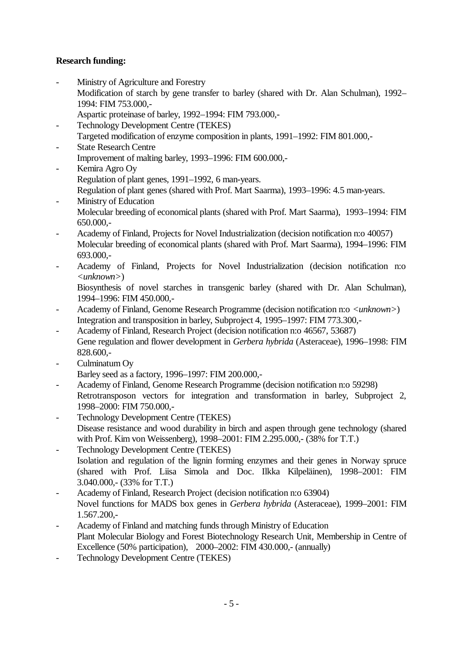# **Research funding:**

- Ministry of Agriculture and Forestry
	- Modification of starch by gene transfer to barley (shared with Dr. Alan Schulman), 1992– 1994: FIM 753.000,-
	- Aspartic proteinase of barley, 1992–1994: FIM 793.000,-
- Technology Development Centre (TEKES)
- Targeted modification of enzyme composition in plants, 1991–1992: FIM 801.000,-
- **State Research Centre** Improvement of malting barley, 1993–1996: FIM 600.000,-
- Kemira Agro Oy Regulation of plant genes, 1991–1992, 6 man-years. Regulation of plant genes (shared with Prof. Mart Saarma), 1993–1996: 4.5 man-years.
- Ministry of Education Molecular breeding of economical plants (shared with Prof. Mart Saarma), 1993–1994: FIM 650.000,-
- Academy of Finland, Projects for Novel Industrialization (decision notification n:o 40057) Molecular breeding of economical plants (shared with Prof. Mart Saarma), 1994–1996: FIM 693.000,-
- Academy of Finland, Projects for Novel Industrialization (decision notification n:o *<unknown>*)

Biosynthesis of novel starches in transgenic barley (shared with Dr. Alan Schulman), 1994–1996: FIM 450.000,-

- Academy of Finland, Genome Research Programme (decision notification n:o *<unknown>*) Integration and transposition in barley, Subproject 4, 1995–1997: FIM 773.300,-
- Academy of Finland, Research Project (decision notification n:o 46567, 53687) Gene regulation and flower development in *Gerbera hybrida* (Asteraceae), 1996–1998: FIM 828.600,-
- Culminatum Oy

Barley seed as a factory, 1996–1997: FIM 200.000,-

- Academy of Finland, Genome Research Programme (decision notification n:o 59298) Retrotransposon vectors for integration and transformation in barley, Subproject 2, 1998–2000: FIM 750.000,-
- Technology Development Centre (TEKES) Disease resistance and wood durability in birch and aspen through gene technology (shared with Prof. Kim von Weissenberg), 1998–2001: FIM 2.295.000,- (38% for T.T.)
- Technology Development Centre (TEKES) Isolation and regulation of the lignin forming enzymes and their genes in Norway spruce (shared with Prof. Liisa Simola and Doc. Ilkka Kilpeläinen), 1998–2001: FIM 3.040.000,- (33% for T.T.)
- Academy of Finland, Research Project (decision notification n:o 63904) Novel functions for MADS box genes in *Gerbera hybrida* (Asteraceae), 1999–2001: FIM 1.567.200,-
- Academy of Finland and matching funds through Ministry of Education Plant Molecular Biology and Forest Biotechnology Research Unit, Membership in Centre of Excellence (50% participation), 2000–2002: FIM 430.000,- (annually)
- Technology Development Centre (TEKES)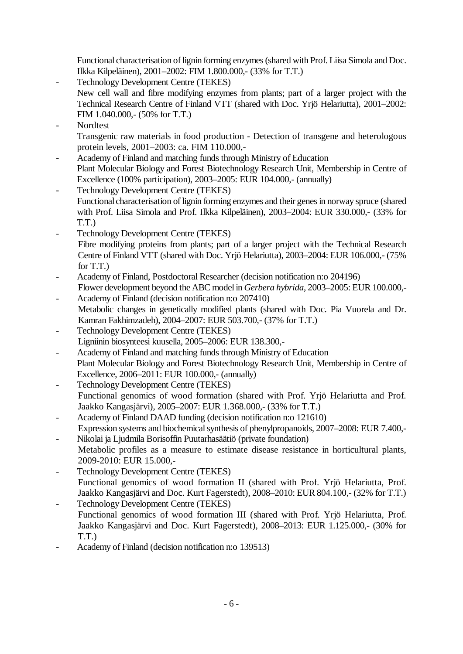Functional characterisation of lignin forming enzymes (shared with Prof. Liisa Simola and Doc. Ilkka Kilpeläinen), 2001–2002: FIM 1.800.000,- (33% for T.T.)

- Technology Development Centre (TEKES)
	- New cell wall and fibre modifying enzymes from plants; part of a larger project with the Technical Research Centre of Finland VTT (shared with Doc. Yrjö Helariutta), 2001–2002: FIM 1.040.000,- (50% for T.T.)
- Nordtest Transgenic raw materials in food production - Detection of transgene and heterologous protein levels, 2001–2003: ca. FIM 110.000,-
- Academy of Finland and matching funds through Ministry of Education Plant Molecular Biology and Forest Biotechnology Research Unit, Membership in Centre of Excellence (100% participation), 2003–2005: EUR 104.000,- (annually)
- Technology Development Centre (TEKES) Functional characterisation of lignin forming enzymes and their genes in norway spruce (shared with Prof. Liisa Simola and Prof. Ilkka Kilpeläinen), 2003–2004: EUR 330.000,- (33% for T.T.)
- Technology Development Centre (TEKES) Fibre modifying proteins from plants; part of a larger project with the Technical Research Centre of Finland VTT (shared with Doc. Yrjö Helariutta), 2003–2004: EUR 106.000,- (75% for T.T.)
- Academy of Finland, Postdoctoral Researcher (decision notification n:o 204196) Flower development beyond the ABC model in *Gerbera hybrida*, 2003–2005: EUR 100.000,-
- Academy of Finland (decision notification n:o 207410) Metabolic changes in genetically modified plants (shared with Doc. Pia Vuorela and Dr. Kamran Fakhimzadeh), 2004–2007: EUR 503.700,- (37% for T.T.)
- Technology Development Centre (TEKES) Ligniinin biosynteesi kuusella, 2005–2006: EUR 138.300,-
- Academy of Finland and matching funds through Ministry of Education Plant Molecular Biology and Forest Biotechnology Research Unit, Membership in Centre of Excellence, 2006–2011: EUR 100.000,- (annually)
- Technology Development Centre (TEKES) Functional genomics of wood formation (shared with Prof. Yrjö Helariutta and Prof. Jaakko Kangasjärvi), 2005–2007: EUR 1.368.000,- (33% for T.T.)
- Academy of Finland DAAD funding (decision notification n:o 121610) Expression systems and biochemical synthesis of phenylpropanoids, 2007–2008: EUR 7.400,-
- Nikolai ja Ljudmila Borisoffin Puutarhasäätiö (private foundation) Metabolic profiles as a measure to estimate disease resistance in horticultural plants, 2009-2010: EUR 15.000,-
- Technology Development Centre (TEKES) Functional genomics of wood formation II (shared with Prof. Yrjö Helariutta, Prof. Jaakko Kangasjärvi and Doc. Kurt Fagerstedt), 2008–2010: EUR 804.100,- (32% for T.T.) Technology Development Centre (TEKES)
- Functional genomics of wood formation III (shared with Prof. Yrjö Helariutta, Prof. Jaakko Kangasjärvi and Doc. Kurt Fagerstedt), 2008–2013: EUR 1.125.000,- (30% for T.T.)
- Academy of Finland (decision notification n:o 139513)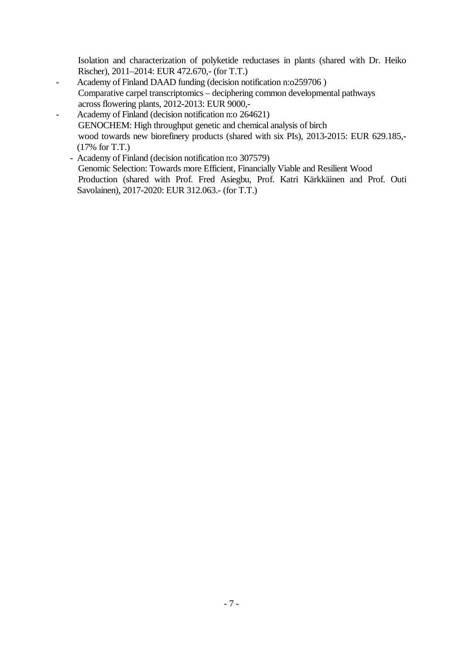Isolation and characterization of polyketide reductases in plants (shared with Dr. Heiko Rischer), 2011–2014: EUR 472.670,- (for T.T.)

- Academy of Finland DAAD funding (decision notification n:o259706) Comparative carpel transcriptomics – deciphering common developmental pathways across flowering plants, 2012-2013: EUR 9000,-
- Academy of Finland (decision notification n: o 264621) GENOCHEM: High throughput genetic and chemical analysis of birch wood towards new biorefinery products (shared with six PIs), 2013-2015: EUR 629.185,- (17% for T.T.)
	- Academy of Finland (decision notification n:o 307579) Genomic Selection: Towards more Efficient, Financially Viable and Resilient Wood Production (shared with Prof. Fred Asiegbu, Prof. Katri Kärkkäinen and Prof. Outi Savolainen), 2017-2020: EUR 312.063.- (for T.T.)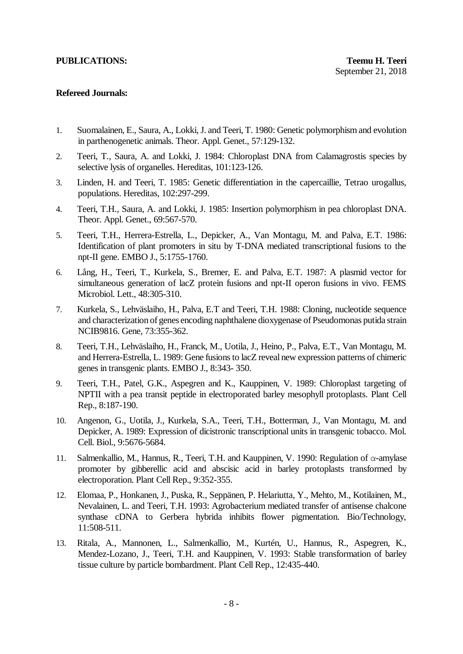## **Refereed Journals:**

- 1. Suomalainen, E., Saura, A., Lokki, J. and Teeri, T. 1980: Genetic polymorphism and evolution in parthenogenetic animals. Theor. Appl. Genet., 57:129-132.
- 2. Teeri, T., Saura, A. and Lokki, J. 1984: Chloroplast DNA from Calamagrostis species by selective lysis of organelles. Hereditas, 101:123-126.
- 3. Linden, H. and Teeri, T. 1985: Genetic differentiation in the capercaillie, Tetrao urogallus, populations. Hereditas, 102:297-299.
- 4. Teeri, T.H., Saura, A. and Lokki, J. 1985: Insertion polymorphism in pea chloroplast DNA. Theor. Appl. Genet., 69:567-570.
- 5. Teeri, T.H., Herrera-Estrella, L., Depicker, A., Van Montagu, M. and Palva, E.T. 1986: Identification of plant promoters in situ by T-DNA mediated transcriptional fusions to the npt-II gene. EMBO J., 5:1755-1760.
- 6. Lång, H., Teeri, T., Kurkela, S., Bremer, E. and Palva, E.T. 1987: A plasmid vector for simultaneous generation of lacZ protein fusions and npt-II operon fusions in vivo. FEMS Microbiol. Lett., 48:305-310.
- 7. Kurkela, S., Lehväslaiho, H., Palva, E.T and Teeri, T.H. 1988: Cloning, nucleotide sequence and characterization of genes encoding naphthalene dioxygenase of Pseudomonas putida strain NCIB9816. Gene, 73:355-362.
- 8. Teeri, T.H., Lehväslaiho, H., Franck, M., Uotila, J., Heino, P., Palva, E.T., Van Montagu, M. and Herrera-Estrella, L. 1989: Gene fusions to lacZ reveal new expression patterns of chimeric genes in transgenic plants. EMBO J., 8:343- 350.
- 9. Teeri, T.H., Patel, G.K., Aspegren and K., Kauppinen, V. 1989: Chloroplast targeting of NPTII with a pea transit peptide in electroporated barley mesophyll protoplasts. Plant Cell Rep., 8:187-190.
- 10. Angenon, G., Uotila, J., Kurkela, S.A., Teeri, T.H., Botterman, J., Van Montagu, M. and Depicker, A. 1989: Expression of dicistronic transcriptional units in transgenic tobacco. Mol. Cell. Biol., 9:5676-5684.
- 11. Salmenkallio, M., Hannus, R., Teeri, T.H. and Kauppinen, V. 1990: Regulation of α-amylase promoter by gibberellic acid and abscisic acid in barley protoplasts transformed by electroporation. Plant Cell Rep., 9:352-355.
- 12. Elomaa, P., Honkanen, J., Puska, R., Seppänen, P. Helariutta, Y., Mehto, M., Kotilainen, M., Nevalainen, L. and Teeri, T.H. 1993: Agrobacterium mediated transfer of antisense chalcone synthase cDNA to Gerbera hybrida inhibits flower pigmentation. Bio/Technology, 11:508-511.
- 13. Ritala, A., Mannonen, L., Salmenkallio, M., Kurtén, U., Hannus, R., Aspegren, K., Mendez-Lozano, J., Teeri, T.H. and Kauppinen, V. 1993: Stable transformation of barley tissue culture by particle bombardment. Plant Cell Rep., 12:435-440.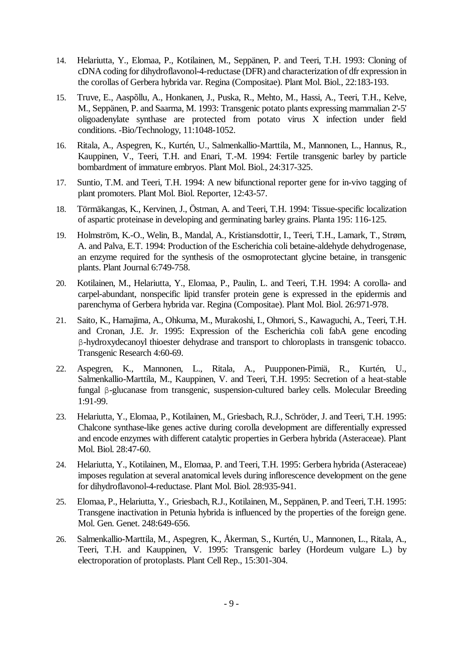- 14. Helariutta, Y., Elomaa, P., Kotilainen, M., Seppänen, P. and Teeri, T.H. 1993: Cloning of cDNA coding for dihydroflavonol-4-reductase (DFR) and characterization of dfr expression in the corollas of Gerbera hybrida var. Regina (Compositae). Plant Mol. Biol., 22:183-193.
- 15. Truve, E., Aaspõllu, A., Honkanen, J., Puska, R., Mehto, M., Hassi, A., Teeri, T.H., Kelve, M., Seppänen, P. and Saarma, M. 1993: Transgenic potato plants expressing mammalian 2'-5' oligoadenylate synthase are protected from potato virus X infection under field conditions. -Bio/Technology, 11:1048-1052.
- 16. Ritala, A., Aspegren, K., Kurtén, U., Salmenkallio-Marttila, M., Mannonen, L., Hannus, R., Kauppinen, V., Teeri, T.H. and Enari, T.-M. 1994: Fertile transgenic barley by particle bombardment of immature embryos. Plant Mol. Biol., 24:317-325.
- 17. Suntio, T.M. and Teeri, T.H. 1994: A new bifunctional reporter gene for in-vivo tagging of plant promoters. Plant Mol. Biol. Reporter, 12:43-57.
- 18. Törmäkangas, K., Kervinen, J., Östman, A. and Teeri, T.H. 1994: Tissue-specific localization of aspartic proteinase in developing and germinating barley grains. Planta 195: 116-125.
- 19. Holmström, K.-O., Welin, B., Mandal, A., Kristiansdottir, I., Teeri, T.H., Lamark, T., Strøm, A. and Palva, E.T. 1994: Production of the Escherichia coli betaine-aldehyde dehydrogenase, an enzyme required for the synthesis of the osmoprotectant glycine betaine, in transgenic plants. Plant Journal 6:749-758.
- 20. Kotilainen, M., Helariutta, Y., Elomaa, P., Paulin, L. and Teeri, T.H. 1994: A corolla- and carpel-abundant, nonspecific lipid transfer protein gene is expressed in the epidermis and parenchyma of Gerbera hybrida var. Regina (Compositae). Plant Mol. Biol. 26:971-978.
- 21. Saito, K., Hamajima, A., Ohkuma, M., Murakoshi, I., Ohmori, S., Kawaguchi, A., Teeri, T.H. and Cronan, J.E. Jr. 1995: Expression of the Escherichia coli fabA gene encoding β-hydroxydecanoyl thioester dehydrase and transport to chloroplasts in transgenic tobacco. Transgenic Research 4:60-69.
- 22. Aspegren, K., Mannonen, L., Ritala, A., Puupponen-Pimiä, R., Kurtén, U., Salmenkallio-Marttila, M., Kauppinen, V. and Teeri, T.H. 1995: Secretion of a heat-stable fungal β-glucanase from transgenic, suspension-cultured barley cells. Molecular Breeding 1:91-99.
- 23. Helariutta, Y., Elomaa, P., Kotilainen, M., Griesbach, R.J., Schröder, J. and Teeri, T.H. 1995: Chalcone synthase-like genes active during corolla development are differentially expressed and encode enzymes with different catalytic properties in Gerbera hybrida (Asteraceae). Plant Mol. Biol. 28:47-60.
- 24. Helariutta, Y., Kotilainen, M., Elomaa, P. and Teeri, T.H. 1995: Gerbera hybrida (Asteraceae) imposes regulation at several anatomical levels during inflorescence development on the gene for dihydroflavonol-4-reductase. Plant Mol. Biol. 28:935-941.
- 25. Elomaa, P., Helariutta, Y., Griesbach, R.J., Kotilainen, M., Seppänen, P. and Teeri, T.H. 1995: Transgene inactivation in Petunia hybrida is influenced by the properties of the foreign gene. Mol. Gen. Genet. 248:649-656.
- 26. Salmenkallio-Marttila, M., Aspegren, K., Åkerman, S., Kurtén, U., Mannonen, L., Ritala, A., Teeri, T.H. and Kauppinen, V. 1995: Transgenic barley (Hordeum vulgare L.) by electroporation of protoplasts. Plant Cell Rep., 15:301-304.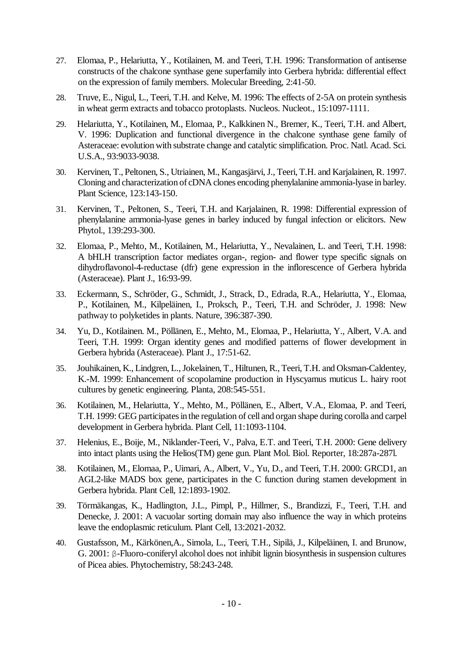- 27. Elomaa, P., Helariutta, Y., Kotilainen, M. and Teeri, T.H. 1996: Transformation of antisense constructs of the chalcone synthase gene superfamily into Gerbera hybrida: differential effect on the expression of family members. Molecular Breeding, 2:41-50.
- 28. Truve, E., Nigul, L., Teeri, T.H. and Kelve, M. 1996: The effects of 2-5A on protein synthesis in wheat germ extracts and tobacco protoplasts. Nucleos. Nucleot., 15:1097-1111.
- 29. Helariutta, Y., Kotilainen, M., Elomaa, P., Kalkkinen N., Bremer, K., Teeri, T.H. and Albert, V. 1996: Duplication and functional divergence in the chalcone synthase gene family of Asteraceae: evolution with substrate change and catalytic simplification. Proc. Natl. Acad. Sci. U.S.A., 93:9033-9038.
- 30. Kervinen, T., Peltonen, S., Utriainen, M., Kangasjärvi, J., Teeri, T.H. and Karjalainen, R. 1997. Cloning and characterization of cDNA clones encoding phenylalanine ammonia-lyase in barley. Plant Science, 123:143-150.
- 31. Kervinen, T., Peltonen, S., Teeri, T.H. and Karjalainen, R. 1998: Differential expression of phenylalanine ammonia-lyase genes in barley induced by fungal infection or elicitors. New Phytol., 139:293-300.
- 32. Elomaa, P., Mehto, M., Kotilainen, M., Helariutta, Y., Nevalainen, L. and Teeri, T.H. 1998: A bHLH transcription factor mediates organ-, region- and flower type specific signals on dihydroflavonol-4-reductase (dfr) gene expression in the inflorescence of Gerbera hybrida (Asteraceae). Plant J., 16:93-99.
- 33. Eckermann, S., Schröder, G., Schmidt, J., Strack, D., Edrada, R.A., Helariutta, Y., Elomaa, P., Kotilainen, M., Kilpeläinen, I., Proksch, P., Teeri, T.H. and Schröder, J. 1998: New pathway to polyketides in plants. Nature, 396:387-390.
- 34. Yu, D., Kotilainen. M., Pöllänen, E., Mehto, M., Elomaa, P., Helariutta, Y., Albert, V.A. and Teeri, T.H. 1999: Organ identity genes and modified patterns of flower development in Gerbera hybrida (Asteraceae). Plant J., 17:51-62.
- 35. Jouhikainen, K., Lindgren, L., Jokelainen, T., Hiltunen, R., Teeri, T.H. and Oksman-Caldentey, K.-M. 1999: Enhancement of scopolamine production in Hyscyamus muticus L. hairy root cultures by genetic engineering. Planta, 208:545-551.
- 36. Kotilainen, M., Helariutta, Y., Mehto, M., Pöllänen, E., Albert, V.A., Elomaa, P. and Teeri, T.H. 1999: GEG participates in the regulation of cell and organ shape during corolla and carpel development in Gerbera hybrida. Plant Cell, 11:1093-1104.
- 37. Helenius, E., Boije, M., Niklander-Teeri, V., Palva, E.T. and Teeri, T.H. 2000: Gene delivery into intact plants using the Helios(TM) gene gun. Plant Mol. Biol. Reporter, 18:287a-287l.
- 38. Kotilainen, M., Elomaa, P., Uimari, A., Albert, V., Yu, D., and Teeri, T.H. 2000: GRCD1, an AGL2-like MADS box gene, participates in the C function during stamen development in Gerbera hybrida. Plant Cell, 12:1893-1902.
- 39. Törmäkangas, K., Hadlington, J.L., Pimpl, P., Hillmer, S., Brandizzi, F., Teeri, T.H. and Denecke, J. 2001: A vacuolar sorting domain may also influence the way in which proteins leave the endoplasmic reticulum. Plant Cell, 13:2021-2032.
- 40. Gustafsson, M., Kärkönen,A., Simola, L., Teeri, T.H., Sipilä, J., Kilpeläinen, I. and Brunow, G. 2001: β-Fluoro-coniferyl alcohol does not inhibit lignin biosynthesis in suspension cultures of Picea abies. Phytochemistry, 58:243-248.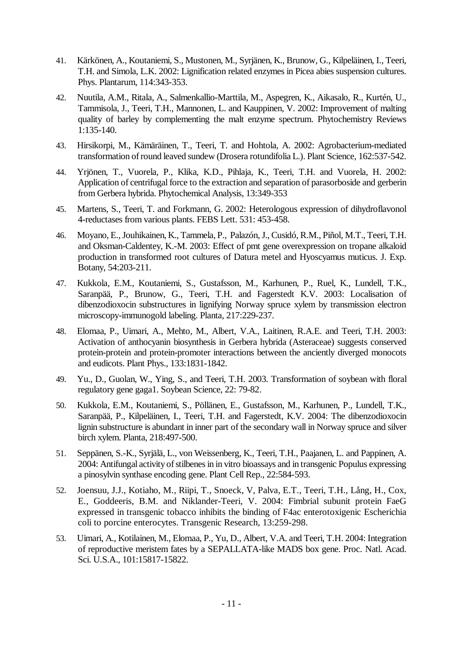- 41. Kärkönen, A., Koutaniemi, S., Mustonen, M., Syrjänen, K., Brunow, G., Kilpeläinen, I., Teeri, T.H. and Simola, L.K. 2002: Lignification related enzymes in Picea abies suspension cultures. Phys. Plantarum, 114:343-353.
- 42. Nuutila, A.M., Ritala, A., Salmenkallio-Marttila, M., Aspegren, K., Aikasalo, R., Kurtén, U., Tammisola, J., Teeri, T.H., Mannonen, L. and Kauppinen, V. 2002: Improvement of malting quality of barley by complementing the malt enzyme spectrum. Phytochemistry Reviews 1:135-140.
- 43. Hirsikorpi, M., Kämäräinen, T., Teeri, T. and Hohtola, A. 2002: Agrobacterium-mediated transformation of round leaved sundew (Drosera rotundifolia L.). Plant Science, 162:537-542.
- 44. Yrjönen, T., Vuorela, P., Klika, K.D., Pihlaja, K., Teeri, T.H. and Vuorela, H. 2002: Application of centrifugal force to the extraction and separation of parasorboside and gerberin from Gerbera hybrida. Phytochemical Analysis, 13:349-353
- 45. Martens, S., Teeri, T. and Forkmann, G. 2002: Heterologous expression of dihydroflavonol 4-reductases from various plants. FEBS Lett. 531: 453-458.
- 46. Moyano, E., Jouhikainen, K., Tammela, P., Palazón, J., Cusidó, R.M., Piñol, M.T., Teeri, T.H. and Oksman-Caldentey, K.-M. 2003: Effect of pmt gene overexpression on tropane alkaloid production in transformed root cultures of Datura metel and Hyoscyamus muticus. J. Exp. Botany, 54:203-211.
- 47. Kukkola, E.M., Koutaniemi, S., Gustafsson, M., Karhunen, P., Ruel, K., Lundell, T.K., Saranpää, P., Brunow, G., Teeri, T.H. and Fagerstedt K.V. 2003: Localisation of dibenzodioxocin substructures in lignifying Norway spruce xylem by transmission electron microscopy-immunogold labeling. Planta, 217:229-237.
- 48. Elomaa, P., Uimari, A., Mehto, M., Albert, V.A., Laitinen, R.A.E. and Teeri, T.H. 2003: Activation of anthocyanin biosynthesis in Gerbera hybrida (Asteraceae) suggests conserved protein-protein and protein-promoter interactions between the anciently diverged monocots and eudicots. Plant Phys., 133:1831-1842.
- 49. Yu., D., Guolan, W., Ying, S., and Teeri, T.H. 2003. Transformation of soybean with floral regulatory gene gaga1. Soybean Science, 22: 79-82.
- 50. Kukkola, E.M., Koutaniemi, S., Pöllänen, E., Gustafsson, M., Karhunen, P., Lundell, T.K., Saranpää, P., Kilpeläinen, I., Teeri, T.H. and Fagerstedt, K.V. 2004: The dibenzodioxocin lignin substructure is abundant in inner part of the secondary wall in Norway spruce and silver birch xylem. Planta, 218:497-500.
- 51. Seppänen, S.-K., Syrjälä, L., von Weissenberg, K., Teeri, T.H., Paajanen, L. and Pappinen, A. 2004: Antifungal activity of stilbenes in in vitro bioassays and in transgenic Populus expressing a pinosylvin synthase encoding gene. Plant Cell Rep., 22:584-593.
- 52. Joensuu, J.J., Kotiaho, M., Riipi, T., Snoeck, V, Palva, E.T., Teeri, T.H., Lång, H., Cox, E., Goddeeris, B.M. and Niklander-Teeri, V. 2004: Fimbrial subunit protein FaeG expressed in transgenic tobacco inhibits the binding of F4ac enterotoxigenic Escherichia coli to porcine enterocytes. Transgenic Research, 13:259-298.
- 53. Uimari, A., Kotilainen, M., Elomaa, P., Yu, D., Albert, V.A. and Teeri, T.H. 2004: Integration of reproductive meristem fates by a SEPALLATA-like MADS box gene. Proc. Natl. Acad. Sci. U.S.A., 101:15817-15822.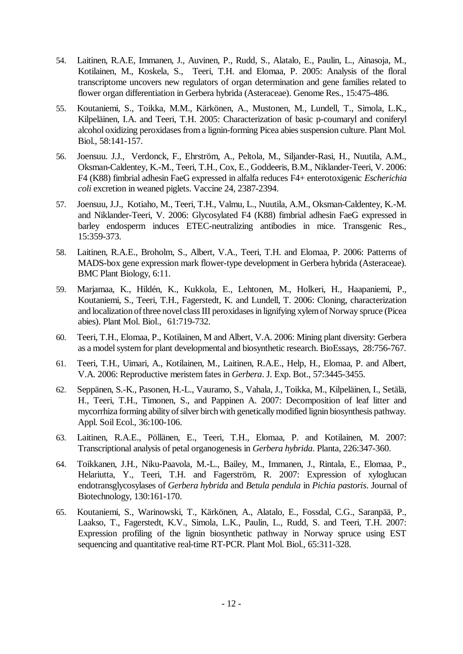- 54. Laitinen, R.A.E, Immanen, J., Auvinen, P., Rudd, S., Alatalo, E., Paulin, L., Ainasoja, M., Kotilainen, M., Koskela, S., Teeri, T.H. and Elomaa, P. 2005: Analysis of the floral transcriptome uncovers new regulators of organ determination and gene families related to flower organ differentiation in Gerbera hybrida (Asteraceae). Genome Res., 15:475-486.
- 55. Koutaniemi, S., Toikka, M.M., Kärkönen, A., Mustonen, M., Lundell, T., Simola, L.K., Kilpeläinen, I.A. and Teeri, T.H. 2005: Characterization of basic p-coumaryl and coniferyl alcohol oxidizing peroxidases from a lignin-forming Picea abies suspension culture. Plant Mol. Biol., 58:141-157.
- 56. Joensuu. J.J., Verdonck, F., Ehrström, A., Peltola, M., Siljander-Rasi, H., Nuutila, A.M., Oksman-Caldentey, K.-M., Teeri, T.H., Cox, E., Goddeeris, B.M., Niklander-Teeri, V. 2006: F4 (K88) fimbrial adhesin FaeG expressed in alfalfa reduces F4+ enterotoxigenic *Escherichia coli* excretion in weaned piglets. Vaccine 24, 2387-2394.
- 57. Joensuu, J.J., Kotiaho, M., Teeri, T.H., Valmu, L., Nuutila, A.M., Oksman-Caldentey, K.-M. and Niklander-Teeri, V. 2006: Glycosylated F4 (K88) fimbrial adhesin FaeG expressed in barley endosperm induces ETEC-neutralizing antibodies in mice. Transgenic Res., 15:359-373.
- 58. Laitinen, R.A.E., Broholm, S., Albert, V.A., Teeri, T.H. and Elomaa, P. 2006: Patterns of MADS-box gene expression mark flower-type development in Gerbera hybrida (Asteraceae). BMC Plant Biology, 6:11.
- 59. Marjamaa, K., Hildén, K., Kukkola, E., Lehtonen, M., Holkeri, H., Haapaniemi, P., Koutaniemi, S., Teeri, T.H., Fagerstedt, K. and Lundell, T. 2006: Cloning, characterization and localization of three novel class III peroxidases in lignifying xylem of Norway spruce (Picea abies). Plant Mol. Biol., 61:719-732.
- 60. Teeri, T.H., Elomaa, P., Kotilainen, M and Albert, V.A. 2006: Mining plant diversity: Gerbera as a model system for plant developmental and biosynthetic research. BioEssays, 28:756-767.
- 61. Teeri, T.H., Uimari, A., Kotilainen, M., Laitinen, R.A.E., Help, H., Elomaa, P. and Albert, V.A. 2006: Reproductive meristem fates in *Gerbera*. J. Exp. Bot., 57:3445-3455.
- 62. Seppänen, S.-K., Pasonen, H.-L., Vauramo, S., Vahala, J., Toikka, M., Kilpeläinen, I., Setälä, H., Teeri, T.H., Timonen, S., and Pappinen A. 2007: Decomposition of leaf litter and mycorrhiza forming ability of silver birch with genetically modified lignin biosynthesis pathway. Appl. Soil Ecol., 36:100-106.
- 63. Laitinen, R.A.E., Pöllänen, E., Teeri, T.H., Elomaa, P. and Kotilainen, M. 2007: Transcriptional analysis of petal organogenesis in *Gerbera hybrida*. Planta, 226:347-360.
- 64. Toikkanen, J.H., Niku-Paavola, M.-L., Bailey, M., Immanen, J., Rintala, E., Elomaa, P., Helariutta, Y., Teeri, T.H. and Fagerström, R. 2007: Expression of xyloglucan endotransglycosylases of *Gerbera hybrida* and *Betula pendula* in *Pichia pastoris*. Journal of Biotechnology, 130:161-170.
- 65. Koutaniemi, S., Warinowski, T., Kärkönen, A., Alatalo, E., Fossdal, C.G., Saranpää, P., Laakso, T., Fagerstedt, K.V., Simola, L.K., Paulin, L., Rudd, S. and Teeri, T.H. 2007: Expression profiling of the lignin biosynthetic pathway in Norway spruce using EST sequencing and quantitative real-time RT-PCR. Plant Mol. Biol., 65:311-328.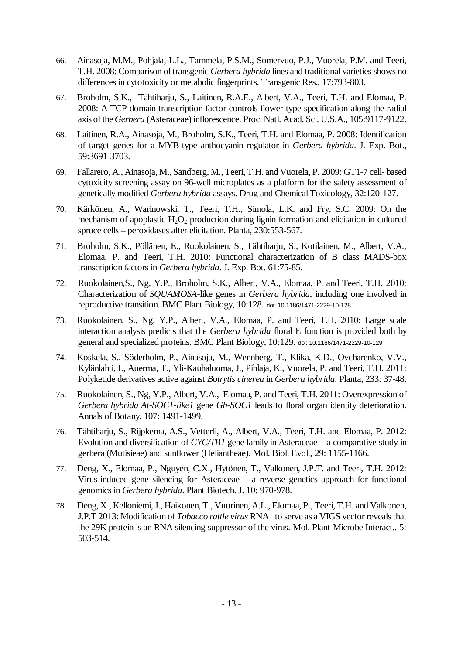- 66. Ainasoja, M.M., Pohjala, L.L., Tammela, P.S.M., Somervuo, P.J., Vuorela, P.M. and Teeri, T.H. 2008: Comparison of transgenic *Gerbera hybrida* lines and traditional varieties shows no differences in cytotoxicity or metabolic fingerprints. Transgenic Res., 17:793-803.
- 67. Broholm, S.K., Tähtiharju, S., Laitinen, R.A.E., Albert, V.A., Teeri, T.H. and Elomaa, P. 2008: A TCP domain transcription factor controls flower type specification along the radial axis of the *Gerbera* (Asteraceae) inflorescence. Proc. Natl. Acad. Sci. U.S.A., 105:9117-9122.
- 68. Laitinen, R.A., Ainasoja, M., Broholm, S.K., Teeri, T.H. and Elomaa, P. 2008: Identification of target genes for a MYB-type anthocyanin regulator in *Gerbera hybrida*. J. Exp. Bot., 59:3691-3703.
- 69. Fallarero, A., Ainasoja, M., Sandberg, M., Teeri, T.H. and Vuorela, P. 2009: GT1-7 cell- based cytoxicity screening assay on 96-well microplates as a platform for the safety assessment of genetically modified *Gerbera hybrida* assays. Drug and Chemical Toxicology, 32:120-127.
- 70. Kärkönen, A., Warinowski, T., Teeri, T.H., Simola, L.K. and Fry, S.C. 2009: On the mechanism of apoplastic  $H_2O_2$  production during lignin formation and elicitation in cultured spruce cells – peroxidases after elicitation. Planta, 230:553-567.
- 71. Broholm, S.K., Pöllänen, E., Ruokolainen, S., Tähtiharju, S., Kotilainen, M., Albert, V.A., Elomaa, P. and Teeri, T.H. 2010: Functional characterization of B class MADS-box transcription factors in *Gerbera hybrida*. J. Exp. Bot. 61:75-85.
- 72. Ruokolainen,S., Ng, Y.P., Broholm, S.K., Albert, V.A., Elomaa, P. and Teeri, T.H. 2010: Characterization of *SQUAMOSA*-like genes in *Gerbera hybrida*, including one involved in reproductive transition. BMC Plant Biology, 10:128. doi: 10.1186/1471-2229-10-128
- 73. Ruokolainen, S., Ng, Y.P., Albert, V.A., Elomaa, P. and Teeri, T.H. 2010: Large scale interaction analysis predicts that the *Gerbera hybrida* floral E function is provided both by general and specialized proteins. BMC Plant Biology, 10:129. doi: 10.1186/1471-2229-10-129
- 74. Koskela, S., Söderholm, P., Ainasoja, M., Wennberg, T., Klika, K.D., Ovcharenko, V.V., Kylänlahti, I., Auerma, T., Yli-Kauhaluoma, J., Pihlaja, K., Vuorela, P. and Teeri, T.H. 2011: Polyketide derivatives active against *Botrytis cinerea* in *Gerbera hybrida*. Planta, 233: 37-48.
- 75. Ruokolainen, S., Ng, Y.P., Albert, V.A., Elomaa, P. and Teeri, T.H. 2011: Overexpression of *Gerbera hybrida At-SOC1-like1* gene *Gh-SOC1* leads to floral organ identity deterioration. Annals of Botany, 107: 1491-1499.
- 76. Tähtiharju, S., Rijpkema, A.S., Vetterli, A., Albert, V.A., Teeri, T.H. and Elomaa, P. 2012: Evolution and diversification of *CYC/TB1* gene family in Asteraceae – a comparative study in gerbera (Mutisieae) and sunflower (Heliantheae). Mol. Biol. Evol., 29: 1155-1166.
- 77. Deng, X., Elomaa, P., Nguyen, C.X., Hytönen, T., Valkonen, J.P.T. and Teeri, T.H. 2012: Virus-induced gene silencing for Asteraceae – a reverse genetics approach for functional genomics in *Gerbera hybrida*. Plant Biotech. J. 10: 970-978.
- 78. Deng, X., Kelloniemi, J., Haikonen, T., Vuorinen, A.L., Elomaa, P., Teeri, T.H. and Valkonen, J.P.T 2013: Modification of *Tobacco rattle virus* RNA1 to serve as a VIGS vector reveals that the 29K protein is an RNA silencing suppressor of the virus. Mol. Plant-Microbe Interact., 5: 503-514.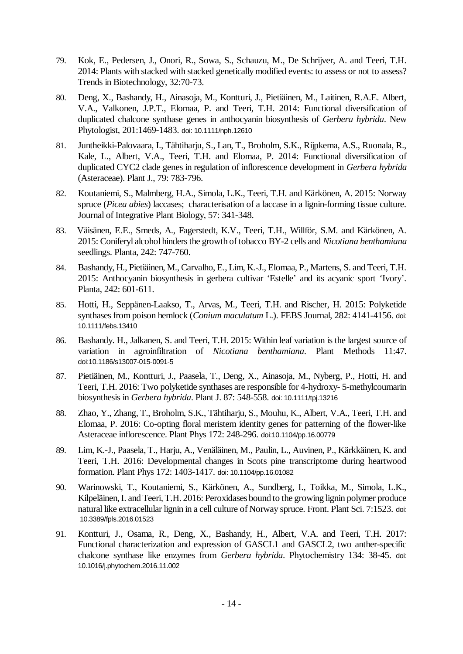- 79. Kok, E., Pedersen, J., Onori, R., Sowa, S., Schauzu, M., De Schrijver, A. and Teeri, T.H. 2014: Plants with stacked with stacked genetically modified events: to assess or not to assess? Trends in Biotechnology, 32:70-73.
- 80. Deng, X., Bashandy, H., Ainasoja, M., Kontturi, J., Pietiäinen, M., Laitinen, R.A.E. Albert, V.A., Valkonen, J.P.T., Elomaa, P. and Teeri, T.H. 2014: Functional diversification of duplicated chalcone synthase genes in anthocyanin biosynthesis of *Gerbera hybrida*. New Phytologist, 201:1469-1483. doi: 10.1111/nph.12610
- 81. Juntheikki-Palovaara, I., Tähtiharju, S., Lan, T., Broholm, S.K., Rijpkema, A.S., Ruonala, R., Kale, L., Albert, V.A., Teeri, T.H. and Elomaa, P. 2014: Functional diversification of duplicated CYC2 clade genes in regulation of inflorescence development in *Gerbera hybrida* (Asteraceae). Plant J., 79: 783-796.
- 82. Koutaniemi, S., Malmberg, H.A., Simola, L.K., Teeri, T.H. and Kärkönen, A. 2015: Norway spruce (*Picea abies*) laccases; characterisation of a laccase in a lignin-forming tissue culture. Journal of Integrative Plant Biology, 57: 341-348.
- 83. Väisänen, E.E., Smeds, A., Fagerstedt, K.V., Teeri, T.H., Willför, S.M. and Kärkönen, A. 2015: Coniferyl alcohol hinders the growth of tobacco BY-2 cells and *Nicotiana benthamiana* seedlings. Planta, 242: 747-760.
- 84. Bashandy, H., Pietiäinen, M., Carvalho, E., Lim, K.-J., Elomaa, P., Martens, S. and Teeri, T.H. 2015: Anthocyanin biosynthesis in gerbera cultivar 'Estelle' and its acyanic sport 'Ivory'. Planta, 242: 601-611.
- 85. Hotti, H., Seppänen-Laakso, T., Arvas, M., Teeri, T.H. and Rischer, H. 2015: Polyketide synthases from poison hemlock (*Conium maculatum* L.). FEBS Journal, 282: 4141-4156. doi: 10.1111/febs.13410
- 86. Bashandy. H., Jalkanen, S. and Teeri, T.H. 2015: Within leaf variation is the largest source of variation in agroinfiltration of *Nicotiana benthamiana*. Plant Methods 11:47. doi:10.1186/s13007-015-0091-5
- 87. Pietiäinen, M., Kontturi, J., Paasela, T., Deng, X., Ainasoja, M., Nyberg, P., Hotti, H. and Teeri, T.H. 2016: Two polyketide synthases are responsible for 4-hydroxy- 5-methylcoumarin biosynthesis in *Gerbera hybrida*. Plant J. 87: 548-558. doi: 10.1111/tpj.13216
- 88. Zhao, Y., Zhang, T., Broholm, S.K., Tähtiharju, S., Mouhu, K., Albert, V.A., Teeri, T.H. and Elomaa, P. 2016: Co-opting floral meristem identity genes for patterning of the flower-like Asteraceae inflorescence. Plant Phys 172: 248-296. doi:10.1104/pp.16.00779
- 89. Lim, K.-J., Paasela, T., Harju, A., Venäläinen, M., Paulin, L., Auvinen, P., Kärkkäinen, K. and Teeri, T.H. 2016: Developmental changes in Scots pine transcriptome during heartwood formation. Plant Phys 172: 1403-1417. doi: 10.1104/pp.16.01082
- 90. Warinowski, T., Koutaniemi, S., Kärkönen, A., Sundberg, I., Toikka, M., Simola, L.K., Kilpeläinen, I. and Teeri, T.H. 2016: Peroxidases bound to the growing lignin polymer produce natural like extracellular lignin in a cell culture of Norway spruce. Front. Plant Sci. 7:1523. doi: 10.3389/fpls.2016.01523
- 91. Kontturi, J., Osama, R., Deng, X., Bashandy, H., Albert, V.A. and Teeri, T.H. 2017: Functional characterization and expression of GASCL1 and GASCL2, two anther-specific chalcone synthase like enzymes from *Gerbera hybrida*. Phytochemistry 134: 38-45. doi: 10.1016/j.phytochem.2016.11.002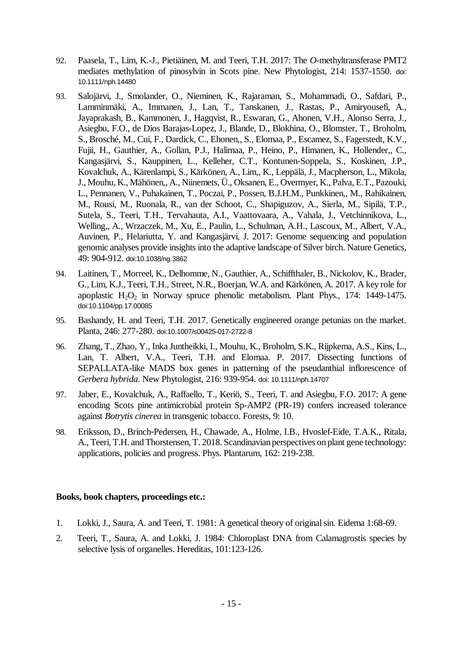- 92. Paasela, T., Lim, K.-J., Pietiäinen, M. and Teeri, T.H. 2017: The *O*-methyltransferase PMT2 mediates methylation of pinosylvin in Scots pine. New Phytologist, 214: 1537-1550. doi: 10.1111/nph.14480
- 93. Salojärvi, J., Smolander, O., Nieminen, K., Rajaraman, S., Mohammadi, O., Safdari, P., Lamminmäki, A., Immanen, J., Lan, T., Tanskanen, J., Rastas, P., Amiryousefi, A., Jayaprakash, B., Kammonen, J., Hagqvist, R., Eswaran, G., Ahonen, V.H., Alonso Serra, J., Asiegbu, F.O., de Dios Barajas-Lopez, J., Blande, D., Blokhina, O., Blomster, T., Broholm, S., Brosché, M., Cui, F., Dardick, C., Ehonen,, S., Elomaa, P., Escamez, S., Fagerstedt, K.V., Fujii, H., Gauthier, A., Gollan, P.J., Halimaa, P., Heino, P., Himanen, K., Hollender,, C., Kangasjärvi, S., Kauppinen, L., Kelleher, C.T., Kontunen-Soppela, S., Koskinen, J.P., Kovalchuk, A., Kärenlampi, S., Kärkönen, A., Lim,, K., Leppälä, J., Macpherson, L., Mikola, J., Mouhu, K., Mähönen,, A., Niinemets, Ü., Oksanen, E., Overmyer, K., Palva, E.T., Pazouki, L., Pennanen, V., Puhakainen, T., Poczai, P., Possen, B.J.H.M., Punkkinen,, M., Rahikainen, M., Rousi, M., Ruonala, R., van der Schoot, C., Shapiguzov, A., Sierla, M., Sipilä, T.P., Sutela, S., Teeri, T.H., Tervahauta, A.I., Vaattovaara, A., Vahala, J., Vetchinnikova, L., Welling,, A., Wrzaczek, M., Xu, E., Paulin, L., Schulman, A.H., Lascoux, M., Albert, V.A., Auvinen, P., Helariutta, Y. and Kangasjärvi, J. 2017: Genome sequencing and population genomic analyses provide insights into the adaptive landscape of Silver birch. Nature Genetics, 49: 904-912. doi:10.1038/ng.3862
- 94. Laitinen, T., Morreel, K., Delhomme, N., Gauthier, A., Schiffthaler, B., Nickolov, K., Brader, G., Lim, K.J., Teeri, T.H., Street, N.R., Boerjan, W.A. and Kärkönen, A. 2017. A key role for apoplastic  $H_2O_2$  in Norway spruce phenolic metabolism. Plant Phys., 174: 1449-1475. doi:10.1104/pp.17.00085
- 95. Bashandy, H. and Teeri, T.H. 2017. Genetically engineered orange petunias on the market. Planta, 246: 277-280. doi:10.1007/s00425-017-2722-8
- 96. Zhang, T., Zhao, Y., Inka Juntheikki, I., Mouhu, K., Broholm, S.K., Rijpkema, A.S., Kins, L., Lan, T. Albert, V.A., Teeri, T.H. and Elomaa. P. 2017. Dissecting functions of SEPALLATA-like MADS box genes in patterning of the pseudanthial inflorescence of *Gerbera hybrida*. New Phytologist, 216: 939-954. doi: 10.1111/nph.14707
- 97. Jaber, E., Kovalchuk, A., Raffaello, T., Keriö, S., Teeri, T. and Asiegbu, F.O. 2017: A gene encoding Scots pine antimicrobial protein Sp-AMP2 (PR-19) confers increased tolerance against *Botrytis cinerea* in transgenic tobacco. Forests, 9: 10.
- 98. Eriksson, D., Brinch-Pedersen, H., Chawade, A., Holme, I.B., Hvoslef-Eide, T.A.K., Ritala, A., Teeri, T.H. and Thorstensen, T. 2018. Scandinavian perspectives on plant gene technology: applications, policies and progress. Phys. Plantarum, 162: 219-238.

#### **Books, book chapters, proceedings etc.:**

- 1. Lokki, J., Saura, A. and Teeri, T. 1981: A genetical theory of original sin. Eidema 1:68-69.
- 2. Teeri, T., Saura, A. and Lokki, J. 1984: Chloroplast DNA from Calamagrostis species by selective lysis of organelles. Hereditas, 101:123-126.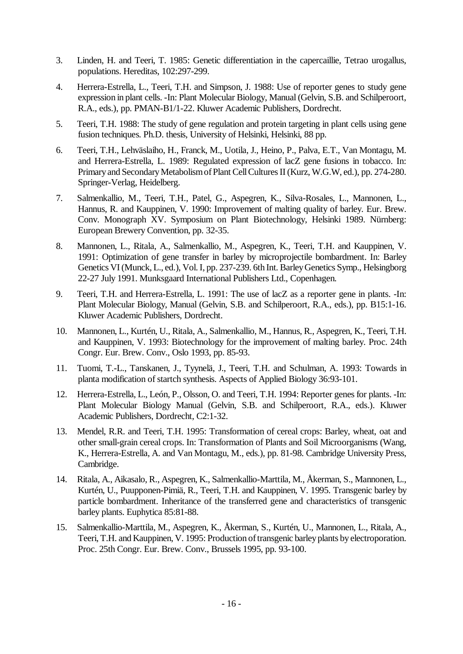- 3. Linden, H. and Teeri, T. 1985: Genetic differentiation in the capercaillie, Tetrao urogallus, populations. Hereditas, 102:297-299.
- 4. Herrera-Estrella, L., Teeri, T.H. and Simpson, J. 1988: Use of reporter genes to study gene expression in plant cells. -In: Plant Molecular Biology, Manual (Gelvin, S.B. and Schilperoort, R.A., eds.), pp. PMAN-B1/1-22. Kluwer Academic Publishers, Dordrecht.
- 5. Teeri, T.H. 1988: The study of gene regulation and protein targeting in plant cells using gene fusion techniques. Ph.D. thesis, University of Helsinki, Helsinki, 88 pp.
- 6. Teeri, T.H., Lehväslaiho, H., Franck, M., Uotila, J., Heino, P., Palva, E.T., Van Montagu, M. and Herrera-Estrella, L. 1989: Regulated expression of lacZ gene fusions in tobacco. In: Primary and Secondary Metabolism of Plant Cell Cultures II (Kurz, W.G.W, ed.), pp. 274-280. Springer-Verlag, Heidelberg.
- 7. Salmenkallio, M., Teeri, T.H., Patel, G., Aspegren, K., Silva-Rosales, L., Mannonen, L., Hannus, R. and Kauppinen, V. 1990: Improvement of malting quality of barley. Eur. Brew. Conv. Monograph XV. Symposium on Plant Biotechnology, Helsinki 1989. Nürnberg: European Brewery Convention, pp. 32-35.
- 8. Mannonen, L., Ritala, A., Salmenkallio, M., Aspegren, K., Teeri, T.H. and Kauppinen, V. 1991: Optimization of gene transfer in barley by microprojectile bombardment. In: Barley Genetics VI (Munck, L., ed.), Vol. I, pp. 237-239. 6th Int. Barley Genetics Symp., Helsingborg 22-27 July 1991. Munksgaard International Publishers Ltd., Copenhagen.
- 9. Teeri, T.H. and Herrera-Estrella, L. 1991: The use of lacZ as a reporter gene in plants. -In: Plant Molecular Biology, Manual (Gelvin, S.B. and Schilperoort, R.A., eds.), pp. B15:1-16. Kluwer Academic Publishers, Dordrecht.
- 10. Mannonen, L., Kurtén, U., Ritala, A., Salmenkallio, M., Hannus, R., Aspegren, K., Teeri, T.H. and Kauppinen, V. 1993: Biotechnology for the improvement of malting barley. Proc. 24th Congr. Eur. Brew. Conv., Oslo 1993, pp. 85-93.
- 11. Tuomi, T.-L., Tanskanen, J., Tyynelä, J., Teeri, T.H. and Schulman, A. 1993: Towards in planta modification of startch synthesis. Aspects of Applied Biology 36:93-101.
- 12. Herrera-Estrella, L., León, P., Olsson, O. and Teeri, T.H. 1994: Reporter genes for plants. -In: Plant Molecular Biology Manual (Gelvin, S.B. and Schilperoort, R.A., eds.). Kluwer Academic Publishers, Dordrecht, C2:1-32.
- 13. Mendel, R.R. and Teeri, T.H. 1995: Transformation of cereal crops: Barley, wheat, oat and other small-grain cereal crops. In: Transformation of Plants and Soil Microorganisms (Wang, K., Herrera-Estrella, A. and Van Montagu, M., eds.), pp. 81-98. Cambridge University Press, Cambridge.
- 14. Ritala, A., Aikasalo, R., Aspegren, K., Salmenkallio-Marttila, M., Åkerman, S., Mannonen, L., Kurtén, U., Puupponen-Pimiä, R., Teeri, T.H. and Kauppinen, V. 1995. Transgenic barley by particle bombardment. Inheritance of the transferred gene and characteristics of transgenic barley plants. Euphytica 85:81-88.
- 15. Salmenkallio-Marttila, M., Aspegren, K., Åkerman, S., Kurtén, U., Mannonen, L., Ritala, A., Teeri, T.H. and Kauppinen, V. 1995: Production of transgenic barley plants by electroporation. Proc. 25th Congr. Eur. Brew. Conv., Brussels 1995, pp. 93-100.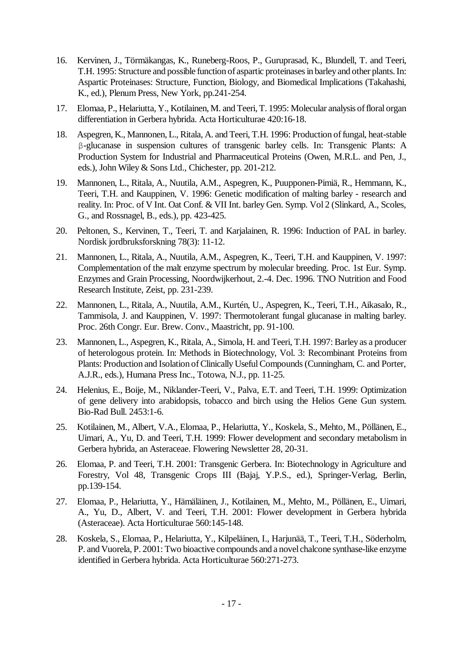- 16. Kervinen, J., Törmäkangas, K., Runeberg-Roos, P., Guruprasad, K., Blundell, T. and Teeri, T.H. 1995: Structure and possible function of aspartic proteinases in barley and other plants. In: Aspartic Proteinases: Structure, Function, Biology, and Biomedical Implications (Takahashi, K., ed.), Plenum Press, New York, pp.241-254.
- 17. Elomaa, P., Helariutta, Y., Kotilainen, M. and Teeri, T. 1995: Molecular analysis of floral organ differentiation in Gerbera hybrida. Acta Horticulturae 420:16-18.
- 18. Aspegren, K., Mannonen, L., Ritala, A. and Teeri, T.H. 1996: Production of fungal, heat-stable β-glucanase in suspension cultures of transgenic barley cells. In: Transgenic Plants: A Production System for Industrial and Pharmaceutical Proteins (Owen, M.R.L. and Pen, J., eds.), John Wiley & Sons Ltd., Chichester, pp. 201-212.
- 19. Mannonen, L., Ritala, A., Nuutila, A.M., Aspegren, K., Puupponen-Pimiä, R., Hemmann, K., Teeri, T.H. and Kauppinen, V. 1996: Genetic modification of malting barley - research and reality. In: Proc. of V Int. Oat Conf. & VII Int. barley Gen. Symp. Vol 2 (Slinkard, A., Scoles, G., and Rossnagel, B., eds.), pp. 423-425.
- 20. Peltonen, S., Kervinen, T., Teeri, T. and Karjalainen, R. 1996: Induction of PAL in barley. Nordisk jordbruksforskning 78(3): 11-12.
- 21. Mannonen, L., Ritala, A., Nuutila, A.M., Aspegren, K., Teeri, T.H. and Kauppinen, V. 1997: Complementation of the malt enzyme spectrum by molecular breeding. Proc. 1st Eur. Symp. Enzymes and Grain Processing, Noordwijkerhout, 2.-4. Dec. 1996. TNO Nutrition and Food Research Institute, Zeist, pp. 231-239.
- 22. Mannonen, L., Ritala, A., Nuutila, A.M., Kurtén, U., Aspegren, K., Teeri, T.H., Aikasalo, R., Tammisola, J. and Kauppinen, V. 1997: Thermotolerant fungal glucanase in malting barley. Proc. 26th Congr. Eur. Brew. Conv., Maastricht, pp. 91-100.
- 23. Mannonen, L., Aspegren, K., Ritala, A., Simola, H. and Teeri, T.H. 1997: Barley as a producer of heterologous protein. In: Methods in Biotechnology, Vol. 3: Recombinant Proteins from Plants: Production and Isolation of Clinically Useful Compounds (Cunningham, C. and Porter, A.J.R., eds.), Humana Press Inc., Totowa, N.J., pp. 11-25.
- 24. Helenius, E., Boije, M., Niklander-Teeri, V., Palva, E.T. and Teeri, T.H. 1999: Optimization of gene delivery into arabidopsis, tobacco and birch using the Helios Gene Gun system. Bio-Rad Bull. 2453:1-6.
- 25. Kotilainen, M., Albert, V.A., Elomaa, P., Helariutta, Y., Koskela, S., Mehto, M., Pöllänen, E., Uimari, A., Yu, D. and Teeri, T.H. 1999: Flower development and secondary metabolism in Gerbera hybrida, an Asteraceae. Flowering Newsletter 28, 20-31.
- 26. Elomaa, P. and Teeri, T.H. 2001: Transgenic Gerbera. In: Biotechnology in Agriculture and Forestry, Vol 48, Transgenic Crops III (Bajaj, Y.P.S., ed.), Springer-Verlag, Berlin, pp.139-154.
- 27. Elomaa, P., Helariutta, Y., Hämäläinen, J., Kotilainen, M., Mehto, M., Pöllänen, E., Uimari, A., Yu, D., Albert, V. and Teeri, T.H. 2001: Flower development in Gerbera hybrida (Asteraceae). Acta Horticulturae 560:145-148.
- 28. Koskela, S., Elomaa, P., Helariutta, Y., Kilpeläinen, I., Harjunää, T., Teeri, T.H., Söderholm, P. and Vuorela, P. 2001: Two bioactive compounds and a novel chalcone synthase-like enzyme identified in Gerbera hybrida. Acta Horticulturae 560:271-273.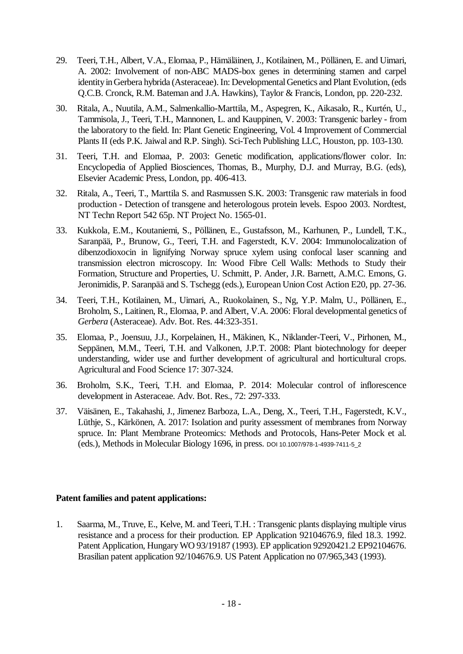- 29. Teeri, T.H., Albert, V.A., Elomaa, P., Hämäläinen, J., Kotilainen, M., Pöllänen, E. and Uimari, A. 2002: Involvement of non-ABC MADS-box genes in determining stamen and carpel identity in Gerbera hybrida (Asteraceae). In: Developmental Genetics and Plant Evolution, (eds Q.C.B. Cronck, R.M. Bateman and J.A. Hawkins), Taylor & Francis, London, pp. 220-232.
- 30. Ritala, A., Nuutila, A.M., Salmenkallio-Marttila, M., Aspegren, K., Aikasalo, R., Kurtén, U., Tammisola, J., Teeri, T.H., Mannonen, L. and Kauppinen, V. 2003: Transgenic barley - from the laboratory to the field. In: Plant Genetic Engineering, Vol. 4 Improvement of Commercial Plants II (eds P.K. Jaiwal and R.P. Singh). Sci-Tech Publishing LLC, Houston, pp. 103-130.
- 31. Teeri, T.H. and Elomaa, P. 2003: Genetic modification, applications/flower color. In: Encyclopedia of Applied Biosciences, Thomas, B., Murphy, D.J. and Murray, B.G. (eds), Elsevier Academic Press, London, pp. 406-413.
- 32. Ritala, A., Teeri, T., Marttila S. and Rasmussen S.K. 2003: Transgenic raw materials in food production - Detection of transgene and heterologous protein levels. Espoo 2003. Nordtest, NT Techn Report 542 65p. NT Project No. 1565-01.
- 33. Kukkola, E.M., Koutaniemi, S., Pöllänen, E., Gustafsson, M., Karhunen, P., Lundell, T.K., Saranpää, P., Brunow, G., Teeri, T.H. and Fagerstedt, K.V. 2004: Immunolocalization of dibenzodioxocin in lignifying Norway spruce xylem using confocal laser scanning and transmission electron microscopy. In: Wood Fibre Cell Walls: Methods to Study their Formation, Structure and Properties, U. Schmitt, P. Ander, J.R. Barnett, A.M.C. Emons, G. Jeronimidis, P. Saranpää and S. Tschegg (eds.), European Union Cost Action E20, pp. 27-36.
- 34. Teeri, T.H., Kotilainen, M., Uimari, A., Ruokolainen, S., Ng, Y.P. Malm, U., Pöllänen, E., Broholm, S., Laitinen, R., Elomaa, P. and Albert, V.A. 2006: Floral developmental genetics of *Gerbera* (Asteraceae). Adv. Bot. Res. 44:323-351.
- 35. Elomaa, P., Joensuu, J.J., Korpelainen, H., Mäkinen, K., Niklander-Teeri, V., Pirhonen, M., Seppänen, M.M., Teeri, T.H. and Valkonen, J.P.T. 2008: Plant biotechnology for deeper understanding, wider use and further development of agricultural and horticultural crops. Agricultural and Food Science 17: 307-324.
- 36. Broholm, S.K., Teeri, T.H. and Elomaa, P. 2014: Molecular control of inflorescence development in Asteraceae. Adv. Bot. Res., 72: 297-333.
- 37. Väisänen, E., Takahashi, J., Jimenez Barboza, L.A., Deng, X., Teeri, T.H., Fagerstedt, K.V., Lüthje, S., Kärkönen, A. 2017: Isolation and purity assessment of membranes from Norway spruce. In: Plant Membrane Proteomics: Methods and Protocols, Hans-Peter Mock et al. (eds.), Methods in Molecular Biology 1696, in press. DOI 10.1007/978-1-4939-7411-5\_2

## **Patent families and patent applications:**

1. Saarma, M., Truve, E., Kelve, M. and Teeri, T.H. : Transgenic plants displaying multiple virus resistance and a process for their production. EP Application 92104676.9, filed 18.3. 1992. Patent Application, Hungary WO 93/19187 (1993). EP application 92920421.2 EP92104676. Brasilian patent application 92/104676.9. US Patent Application no 07/965,343 (1993).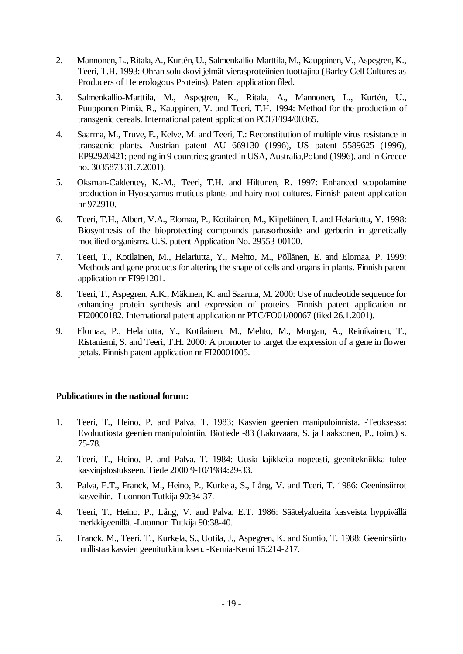- 2. Mannonen, L., Ritala, A., Kurtén, U., Salmenkallio-Marttila, M., Kauppinen, V., Aspegren, K., Teeri, T.H. 1993: Ohran solukkoviljelmät vierasproteiinien tuottajina (Barley Cell Cultures as Producers of Heterologous Proteins). Patent application filed.
- 3. Salmenkallio-Marttila, M., Aspegren, K., Ritala, A., Mannonen, L., Kurtén, U., Puupponen-Pimiä, R., Kauppinen, V. and Teeri, T.H. 1994: Method for the production of transgenic cereals. International patent application PCT/FI94/00365.
- 4. Saarma, M., Truve, E., Kelve, M. and Teeri, T.: Reconstitution of multiple virus resistance in transgenic plants. Austrian patent AU 669130 (1996), US patent 5589625 (1996), EP92920421; pending in 9 countries; granted in USA, Australia,Poland (1996), and in Greece no. 3035873 31.7.2001).
- 5. Oksman-Caldentey, K.-M., Teeri, T.H. and Hiltunen, R. 1997: Enhanced scopolamine production in Hyoscyamus muticus plants and hairy root cultures. Finnish patent application nr 972910.
- 6. Teeri, T.H., Albert, V.A., Elomaa, P., Kotilainen, M., Kilpeläinen, I. and Helariutta, Y. 1998: Biosynthesis of the bioprotecting compounds parasorboside and gerberin in genetically modified organisms. U.S. patent Application No. 29553-00100.
- 7. Teeri, T., Kotilainen, M., Helariutta, Y., Mehto, M., Pöllänen, E. and Elomaa, P. 1999: Methods and gene products for altering the shape of cells and organs in plants. Finnish patent application nr FI991201.
- 8. Teeri, T., Aspegren, A.K., Mäkinen, K. and Saarma, M. 2000: Use of nucleotide sequence for enhancing protein synthesis and expression of proteins. Finnish patent application nr FI20000182. International patent application nr PTC/FO01/00067 (filed 26.1.2001).
- 9. Elomaa, P., Helariutta, Y., Kotilainen, M., Mehto, M., Morgan, A., Reinikainen, T., Ristaniemi, S. and Teeri, T.H. 2000: A promoter to target the expression of a gene in flower petals. Finnish patent application nr FI20001005.

## **Publications in the national forum:**

- 1. Teeri, T., Heino, P. and Palva, T. 1983: Kasvien geenien manipuloinnista. -Teoksessa: Evoluutiosta geenien manipulointiin, Biotiede -83 (Lakovaara, S. ja Laaksonen, P., toim.) s. 75-78.
- 2. Teeri, T., Heino, P. and Palva, T. 1984: Uusia lajikkeita nopeasti, geenitekniikka tulee kasvinjalostukseen. Tiede 2000 9-10/1984:29-33.
- 3. Palva, E.T., Franck, M., Heino, P., Kurkela, S., Lång, V. and Teeri, T. 1986: Geeninsiirrot kasveihin. -Luonnon Tutkija 90:34-37.
- 4. Teeri, T., Heino, P., Lång, V. and Palva, E.T. 1986: Säätelyalueita kasveista hyppivällä merkkigeenillä. -Luonnon Tutkija 90:38-40.
- 5. Franck, M., Teeri, T., Kurkela, S., Uotila, J., Aspegren, K. and Suntio, T. 1988: Geeninsiirto mullistaa kasvien geenitutkimuksen. -Kemia-Kemi 15:214-217.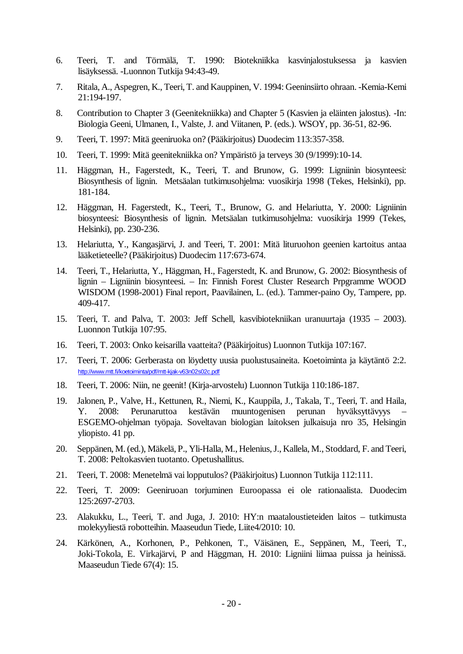- 6. Teeri, T. and Törmälä, T. 1990: Biotekniikka kasvinjalostuksessa ja kasvien lisäyksessä. -Luonnon Tutkija 94:43-49.
- 7. Ritala, A., Aspegren, K., Teeri, T. and Kauppinen, V. 1994: Geeninsiirto ohraan. -Kemia-Kemi 21:194-197.
- 8. Contribution to Chapter 3 (Geenitekniikka) and Chapter 5 (Kasvien ja eläinten jalostus). -In: Biologia Geeni, Ulmanen, I., Valste, J. and Viitanen, P. (eds.). WSOY, pp. 36-51, 82-96.
- 9. Teeri, T. 1997: Mitä geeniruoka on? (Pääkirjoitus) Duodecim 113:357-358.
- 10. Teeri, T. 1999: Mitä geenitekniikka on? Ympäristö ja terveys 30 (9/1999):10-14.
- 11. Häggman, H., Fagerstedt, K., Teeri, T. and Brunow, G. 1999: Ligniinin biosynteesi: Biosynthesis of lignin. Metsäalan tutkimusohjelma: vuosikirja 1998 (Tekes, Helsinki), pp. 181-184.
- 12. Häggman, H. Fagerstedt, K., Teeri, T., Brunow, G. and Helariutta, Y. 2000: Ligniinin biosynteesi: Biosynthesis of lignin. Metsäalan tutkimusohjelma: vuosikirja 1999 (Tekes, Helsinki), pp. 230-236.
- 13. Helariutta, Y., Kangasjärvi, J. and Teeri, T. 2001: Mitä lituruohon geenien kartoitus antaa lääketieteelle? (Pääkirjoitus) Duodecim 117:673-674.
- 14. Teeri, T., Helariutta, Y., Häggman, H., Fagerstedt, K. and Brunow, G. 2002: Biosynthesis of lignin – Ligniinin biosynteesi. – In: Finnish Forest Cluster Research Prpgramme WOOD WISDOM (1998-2001) Final report, Paavilainen, L. (ed.). Tammer-paino Oy, Tampere, pp. 409-417.
- 15. Teeri, T. and Palva, T. 2003: Jeff Schell, kasvibiotekniikan uranuurtaja (1935 2003). Luonnon Tutkija 107:95.
- 16. Teeri, T. 2003: Onko keisarilla vaatteita? (Pääkirjoitus) Luonnon Tutkija 107:167.
- 17. Teeri, T. 2006: Gerberasta on löydetty uusia puolustusaineita. Koetoiminta ja käytäntö 2:2. http://www.mtt.fi/koetoiminta/pdf/mtt-kjak-v63n02s02c.pdf
- 18. Teeri, T. 2006: Niin, ne geenit! (Kirja-arvostelu) Luonnon Tutkija 110:186-187.
- 19. Jalonen, P., Valve, H., Kettunen, R., Niemi, K., Kauppila, J., Takala, T., Teeri, T. and Haila, Y. 2008: Perunaruttoa kestävän muuntogenisen perunan hyväksyttävyys ESGEMO-ohjelman työpaja. Soveltavan biologian laitoksen julkaisuja nro 35, Helsingin yliopisto. 41 pp.
- 20. Seppänen, M. (ed.), Mäkelä, P., Yli-Halla, M., Helenius, J., Kallela, M., Stoddard, F. and Teeri, T. 2008: Peltokasvien tuotanto. Opetushallitus.
- 21. Teeri, T. 2008: Menetelmä vai lopputulos? (Pääkirjoitus) Luonnon Tutkija 112:111.
- 22. Teeri, T. 2009: Geeniruoan torjuminen Euroopassa ei ole rationaalista. Duodecim 125:2697-2703.
- 23. Alakukku, L., Teeri, T. and Juga, J. 2010: HY:n maataloustieteiden laitos tutkimusta molekyyliestä robotteihin. Maaseudun Tiede, Liite4/2010: 10.
- 24. Kärkönen, A., Korhonen, P., Pehkonen, T., Väisänen, E., Seppänen, M., Teeri, T., Joki-Tokola, E. Virkajärvi, P and Häggman, H. 2010: Ligniini liimaa puissa ja heinissä. Maaseudun Tiede 67(4): 15.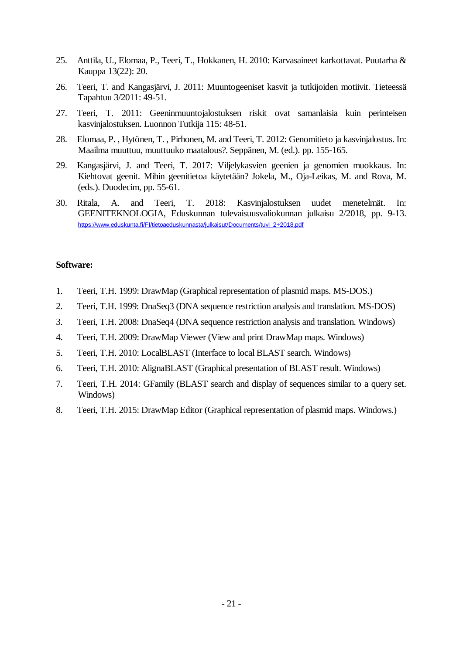- 25. Anttila, U., Elomaa, P., Teeri, T., Hokkanen, H. 2010: Karvasaineet karkottavat. Puutarha & Kauppa 13(22): 20.
- 26. Teeri, T. and Kangasjärvi, J. 2011: Muuntogeeniset kasvit ja tutkijoiden motiivit. Tieteessä Tapahtuu 3/2011: 49-51.
- 27. Teeri, T. 2011: Geeninmuuntojalostuksen riskit ovat samanlaisia kuin perinteisen kasvinjalostuksen. Luonnon Tutkija 115: 48-51.
- 28. Elomaa, P. , Hytönen, T. , Pirhonen, M. and Teeri, T. 2012: Genomitieto ja kasvinjalostus. In: Maailma muuttuu, muuttuuko maatalous?. Seppänen, M. (ed.). pp. 155-165.
- 29. Kangasjärvi, J. and Teeri, T. 2017: Viljelykasvien geenien ja genomien muokkaus. In: Kiehtovat geenit. Mihin geenitietoa käytetään? Jokela, M., Oja-Leikas, M. and Rova, M. (eds.). Duodecim, pp. 55-61.
- 30. Ritala, A. and Teeri, T. 2018: Kasvinjalostuksen uudet menetelmät. In: GEENITEKNOLOGIA, Eduskunnan tulevaisuusvaliokunnan julkaisu 2/2018, pp. 9-13. https://www.eduskunta.fi/FI/tietoaeduskunnasta/julkaisut/Documents/tuvj\_2+2018.pdf

### **Software:**

- 1. Teeri, T.H. 1999: DrawMap (Graphical representation of plasmid maps. MS-DOS.)
- 2. Teeri, T.H. 1999: DnaSeq3 (DNA sequence restriction analysis and translation. MS-DOS)
- 3. Teeri, T.H. 2008: DnaSeq4 (DNA sequence restriction analysis and translation. Windows)
- 4. Teeri, T.H. 2009: DrawMap Viewer (View and print DrawMap maps. Windows)
- 5. Teeri, T.H. 2010: LocalBLAST (Interface to local BLAST search. Windows)
- 6. Teeri, T.H. 2010: AlignaBLAST (Graphical presentation of BLAST result. Windows)
- 7. Teeri, T.H. 2014: GFamily (BLAST search and display of sequences similar to a query set. Windows)
- 8. Teeri, T.H. 2015: DrawMap Editor (Graphical representation of plasmid maps. Windows.)